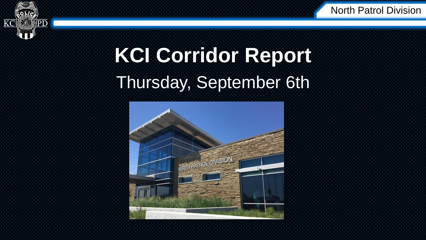



## **KCI Corridor Report** Thursday, September 6th

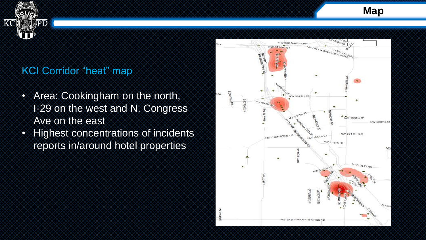

**Map**

### KCI Corridor "heat" map

- Area: Cookingham on the north, I-29 on the west and N. Congress Ave on the east
- Highest concentrations of incidents reports in/around hotel properties

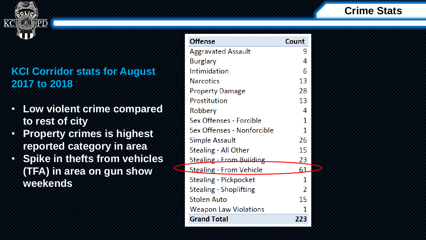

## **Crime Stats**

### **KCI Corridor stats for August 2017 to 2018**

- **Low violent crime compared to rest of city**
- **Property crimes is highest reported category in area**
- **Spike in thefts from vehicles (TFA) in area on gun show weekends**

| <b>Offense</b>                  | Count |
|---------------------------------|-------|
| <b>Aggravated Assault</b>       | 9     |
| Burglary                        | 4     |
| <b>Intimidation</b>             | 6     |
| <b>Narcotics</b>                | 13    |
| <b>Property Damage</b>          | 28    |
| Prostitution                    | 13    |
| Robbery                         | 4     |
| Sex Offenses - Forcible         | 1     |
| Sex Offenses - Nonforcible      | 1     |
| Simple Assault                  | 26    |
| Stealing - All Other            | 15    |
| Stealing - From Building        | 23    |
| <u> Stealing</u> - From Vehicle | 61    |
| Stealing - Pickpocket           | 1     |
| Stealing - Shoplifting          | 2     |
| <b>Stolen Auto</b>              | 15    |
| Weapon Law Violations           | 1     |
| <b>Grand Total</b>              | 223   |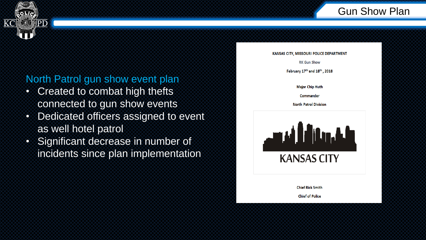

### North Patrol gun show event plan

- Created to combat high thefts connected to gun show events
- Dedicated officers assigned to event as well hotel patrol
- Significant decrease in number of incidents since plan implementation

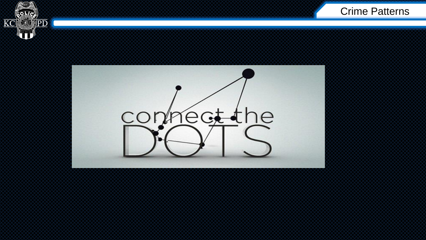



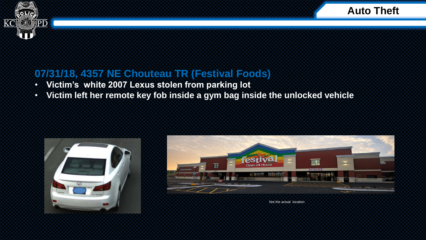



**Auto Theft**

### **07/31/18, 4357 NE Chouteau TR (Festival Foods)**

- **Victim's white 2007 Lexus stolen from parking lot**
- **Victim left her remote key fob inside a gym bag inside the unlocked vehicle**





Not the actual location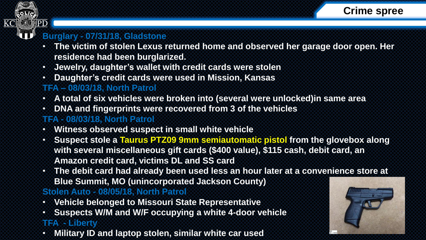



### **Burglary - 07/31/18, Gladstone**

- **The victim of stolen Lexus returned home and observed her garage door open. Her residence had been burglarized.**
- **Jewelry, daughter's wallet with credit cards were stolen**
- **Daughter's credit cards were used in Mission, Kansas**

### **TFA – 08/03/18, North Patrol**

- **A total of six vehicles were broken into (several were unlocked)in same area**
- **DNA and fingerprints were recovered from 3 of the vehicles**

### **TFA - 08/03/18, North Patrol**

- **Witness observed suspect in small white vehicle**
- **Suspect stole a Taurus PTZ09 9mm semiautomatic pistol from the glovebox along with several miscellaneous gift cards (\$400 value), \$115 cash, debit card, an Amazon credit card, victims DL and SS card**
- **The debit card had already been used less an hour later at a convenience store at Blue Summit, MO (unincorporated Jackson County)**

### **Stolen Auto - 08/05/18, North Patrol**

- **Vehicle belonged to Missouri State Representative**
- **Suspects W/M and W/F occupying a white 4-door vehicle**

### **TFA - Liberty**

• **Military ID and laptop stolen, similar white car used**

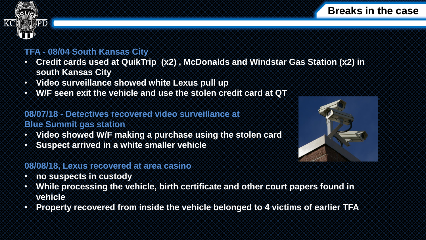



### **TFA - 08/04 South Kansas City**

- **Credit cards used at QuikTrip (x2) , McDonalds and Windstar Gas Station (x2) in south Kansas City**
- **Video surveillance showed white Lexus pull up**
- **W/F seen exit the vehicle and use the stolen credit card at QT**

### **08/07/18 - Detectives recovered video surveillance at Blue Summit gas station**

- **Video showed W/F making a purchase using the stolen card**
- **Suspect arrived in a white smaller vehicle**

### **08/08/18, Lexus recovered at area casino**

- **no suspects in custody**
- **While processing the vehicle, birth certificate and other court papers found in vehicle**
- **Property recovered from inside the vehicle belonged to 4 victims of earlier TFA**

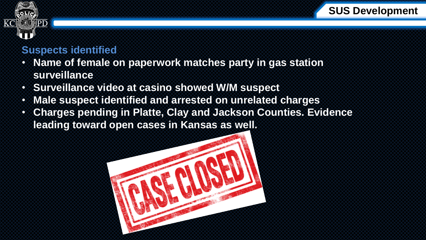



### **Suspects identified**

- **Name of female on paperwork matches party in gas station surveillance**
- **Surveillance video at casino showed W/M suspect**
- **Male suspect identified and arrested on unrelated charges**
- **Charges pending in Platte, Clay and Jackson Counties. Evidence leading toward open cases in Kansas as well.**

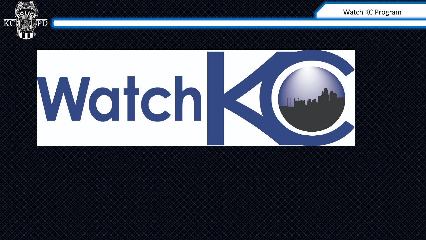

# WatchK